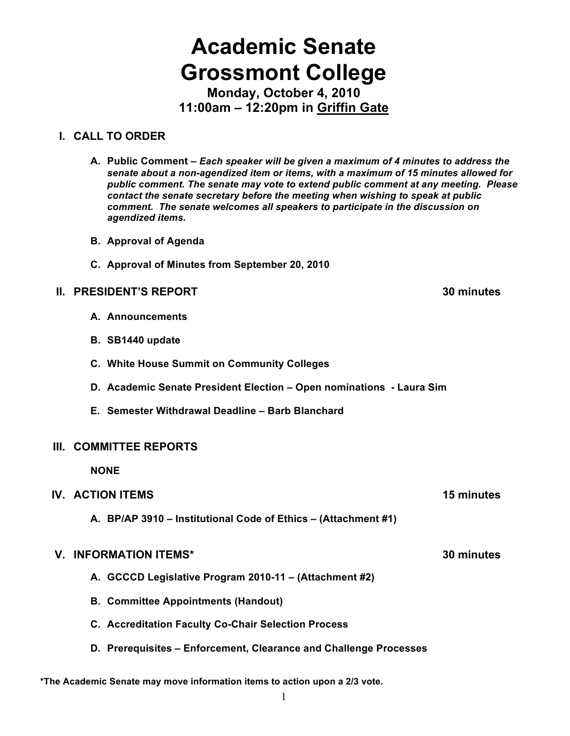# **Academic Senate Grossmont College**

**Monday, October 4, 2010 11:00am – 12:20pm in Griffin Gate**

#### **I. CALL TO ORDER**

**A. Public Comment –** *Each speaker will be given a maximum of 4 minutes to address the senate about a non-agendized item or items, with a maximum of 15 minutes allowed for public comment. The senate may vote to extend public comment at any meeting. Please contact the senate secretary before the meeting when wishing to speak at public comment. The senate welcomes all speakers to participate in the discussion on agendized items.*

- **B. Approval of Agenda**
- **C. Approval of Minutes from September 20, 2010**

#### **II. PRESIDENT'S REPORT 30 minutes**

- **A. Announcements**
- **B. SB1440 update**
- **C. White House Summit on Community Colleges**
- **D. Academic Senate President Election Open nominations Laura Sim**
- **E. Semester Withdrawal Deadline Barb Blanchard**

#### **III. COMMITTEE REPORTS**

**NONE**

#### **IV. ACTION ITEMS 15 minutes**

**A. BP/AP 3910 – Institutional Code of Ethics – (Attachment #1)**

#### **V. INFORMATION ITEMS\* 30 minutes**

- **A. GCCCD Legislative Program 2010-11 (Attachment #2)**
- **B. Committee Appointments (Handout)**
- **C. Accreditation Faculty Co-Chair Selection Process**
- **D. Prerequisites Enforcement, Clearance and Challenge Processes**

**\*The Academic Senate may move information items to action upon a 2/3 vote.**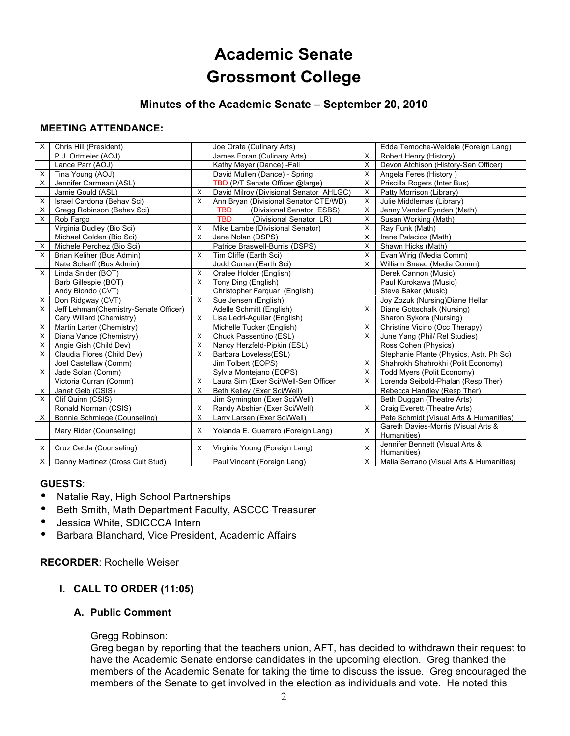## **Academic Senate Grossmont College**

#### **Minutes of the Academic Senate – September 20, 2010**

#### **MEETING ATTENDANCE:**

| X | Chris Hill (President)                |          | Joe Orate (Culinary Arts)               |   | Edda Temoche-Weldele (Foreign Lang)                |
|---|---------------------------------------|----------|-----------------------------------------|---|----------------------------------------------------|
|   | P.J. Ortmeier (AOJ)                   |          | James Foran (Culinary Arts)             | X | Robert Henry (History)                             |
|   | Lance Parr (AOJ)                      |          | Kathy Meyer (Dance) -Fall               | X | Devon Atchison (History-Sen Officer)               |
| X | Tina Young (AOJ)                      |          | David Mullen (Dance) - Spring           | X | Angela Feres (History)                             |
| X | Jennifer Carmean (ASL)                |          | TBD (P/T Senate Officer @large)         | X | Priscilla Rogers (Inter Bus)                       |
|   | Jamie Gould (ASL)                     | X        | David Milroy (Divisional Senator AHLGC) | X | Patty Morrison (Library)                           |
| X | Israel Cardona (Behav Sci)            | $\times$ | Ann Bryan (Divisional Senator CTE/WD)   | X | Julie Middlemas (Library)                          |
| X | Gregg Robinson (Behav Sci)            |          | <b>TBD</b><br>(Divisional Senator ESBS) | X | Jenny VandenEynden (Math)                          |
| X | Rob Fargo                             |          | <b>TBD</b><br>(Divisional Senator LR)   | X | Susan Working (Math)                               |
|   | Virginia Dudley (Bio Sci)             | X        | Mike Lambe (Divisional Senator)         | X | Ray Funk (Math)                                    |
|   | Michael Golden (Bio Sci)              | $\times$ | Jane Nolan (DSPS)                       | X | Irene Palacios (Math)                              |
| X | Michele Perchez (Bio Sci)             |          | Patrice Braswell-Burris (DSPS)          | X | Shawn Hicks (Math)                                 |
| X | Brian Keliher (Bus Admin)             | X        | Tim Cliffe (Earth Sci)                  | X | Evan Wirig (Media Comm)                            |
|   | Nate Scharff (Bus Admin)              |          | Judd Curran (Earth Sci)                 | X | William Snead (Media Comm)                         |
| X | Linda Snider (BOT)                    | X        | Oralee Holder (English)                 |   | Derek Cannon (Music)                               |
|   | Barb Gillespie (BOT)                  | X        | Tony Ding (English)                     |   | Paul Kurokawa (Music)                              |
|   | Andy Biondo (CVT)                     |          | Christopher Farquar (English)           |   | Steve Baker (Music)                                |
| X | Don Ridgway (CVT)                     | X        | Sue Jensen (English)                    |   | Joy Zozuk (Nursing) Diane Hellar                   |
| X | Jeff Lehman(Chemistry-Senate Officer) |          | Adelle Schmitt (English)                | X | Diane Gottschalk (Nursing)                         |
|   | Cary Willard (Chemistry)              | X        | Lisa Ledri-Aguilar (English)            |   | Sharon Sykora (Nursing)                            |
| X | Martin Larter (Chemistry)             |          | Michelle Tucker (English)               | X | Christine Vicino (Occ Therapy)                     |
| X | Diana Vance (Chemistry)               | X        | Chuck Passentino (ESL)                  | X | June Yang (Phil/ Rel Studies)                      |
| х | Angie Gish (Child Dev)                | X        | Nancy Herzfeld-Pipkin (ESL)             |   | Ross Cohen (Physics)                               |
| X | Claudia Flores (Child Dev)            | X        | Barbara Loveless(ESL)                   |   | Stephanie Plante (Physics, Astr. Ph Sc)            |
|   | Joel Castellaw (Comm)                 |          | Jim Tolbert (EOPS)                      | X | Shahrokh Shahrokhi (Polit Economy)                 |
| X | Jade Solan (Comm)                     |          | Sylvia Montejano (EOPS)                 | X | Todd Myers (Polit Economy)                         |
|   | Victoria Curran (Comm)                | X        | Laura Sim (Exer Sci/Well-Sen Officer    | X | Lorenda Seibold-Phalan (Resp Ther)                 |
| x | Janet Gelb (CSIS)                     | X        | Beth Kelley (Exer Sci/Well)             |   | Rebecca Handley (Resp Ther)                        |
| X | Clif Quinn (CSIS)                     |          | Jim Symington (Exer Sci/Well)           |   | Beth Duggan (Theatre Arts)                         |
|   | Ronald Norman (CSIS)                  | $\times$ | Randy Abshier (Exer Sci/Well)           | X | Craig Everett (Theatre Arts)                       |
| X | Bonnie Schmiege (Counseling)          | X        | Larry Larsen (Exer Sci/Well)            |   | Pete Schmidt (Visual Arts & Humanities)            |
|   | Mary Rider (Counseling)               | X        | Yolanda E. Guerrero (Foreign Lang)      | X | Gareth Davies-Morris (Visual Arts &<br>Humanities) |
| X | Cruz Cerda (Counseling)               | X        | Virginia Young (Foreign Lang)           | X | Jennifer Bennett (Visual Arts &<br>Humanities)     |
| X | Danny Martinez (Cross Cult Stud)      |          | Paul Vincent (Foreign Lang)             | X | Malia Serrano (Visual Arts & Humanities)           |

#### **GUESTS**:

- Natalie Ray, High School Partnerships
- Beth Smith, Math Department Faculty, ASCCC Treasurer<br>• Lessica White, SDICCCA Intern
- Jessica White, SDICCCA Intern
- Barbara Blanchard, Vice President, Academic Affairs

**RECORDER**: Rochelle Weiser

#### **I. CALL TO ORDER (11:05)**

#### **A. Public Comment**

#### Gregg Robinson:

Greg began by reporting that the teachers union, AFT, has decided to withdrawn their request to have the Academic Senate endorse candidates in the upcoming election. Greg thanked the members of the Academic Senate for taking the time to discuss the issue. Greg encouraged the members of the Senate to get involved in the election as individuals and vote. He noted this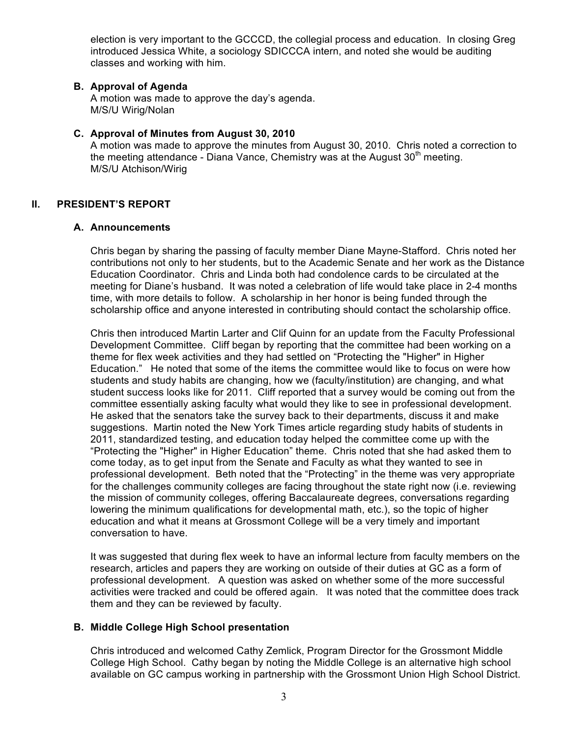election is very important to the GCCCD, the collegial process and education. In closing Greg introduced Jessica White, a sociology SDICCCA intern, and noted she would be auditing classes and working with him.

#### **B. Approval of Agenda**

A motion was made to approve the day's agenda. M/S/U Wirig/Nolan

#### **C. Approval of Minutes from August 30, 2010**

A motion was made to approve the minutes from August 30, 2010. Chris noted a correction to the meeting attendance - Diana Vance, Chemistry was at the August  $30<sup>th</sup>$  meeting. M/S/U Atchison/Wirig

#### **II. PRESIDENT'S REPORT**

#### **A. Announcements**

Chris began by sharing the passing of faculty member Diane Mayne-Stafford. Chris noted her contributions not only to her students, but to the Academic Senate and her work as the Distance Education Coordinator. Chris and Linda both had condolence cards to be circulated at the meeting for Diane's husband. It was noted a celebration of life would take place in 2-4 months time, with more details to follow. A scholarship in her honor is being funded through the scholarship office and anyone interested in contributing should contact the scholarship office.

Chris then introduced Martin Larter and Clif Quinn for an update from the Faculty Professional Development Committee. Cliff began by reporting that the committee had been working on a theme for flex week activities and they had settled on "Protecting the "Higher" in Higher Education." He noted that some of the items the committee would like to focus on were how students and study habits are changing, how we (faculty/institution) are changing, and what student success looks like for 2011. Cliff reported that a survey would be coming out from the committee essentially asking faculty what would they like to see in professional development. He asked that the senators take the survey back to their departments, discuss it and make suggestions. Martin noted the New York Times article regarding study habits of students in 2011, standardized testing, and education today helped the committee come up with the "Protecting the "Higher" in Higher Education" theme. Chris noted that she had asked them to come today, as to get input from the Senate and Faculty as what they wanted to see in professional development. Beth noted that the "Protecting" in the theme was very appropriate for the challenges community colleges are facing throughout the state right now (i.e. reviewing the mission of community colleges, offering Baccalaureate degrees, conversations regarding lowering the minimum qualifications for developmental math, etc.), so the topic of higher education and what it means at Grossmont College will be a very timely and important conversation to have.

It was suggested that during flex week to have an informal lecture from faculty members on the research, articles and papers they are working on outside of their duties at GC as a form of professional development. A question was asked on whether some of the more successful activities were tracked and could be offered again. It was noted that the committee does track them and they can be reviewed by faculty.

#### **B. Middle College High School presentation**

Chris introduced and welcomed Cathy Zemlick, Program Director for the Grossmont Middle College High School. Cathy began by noting the Middle College is an alternative high school available on GC campus working in partnership with the Grossmont Union High School District.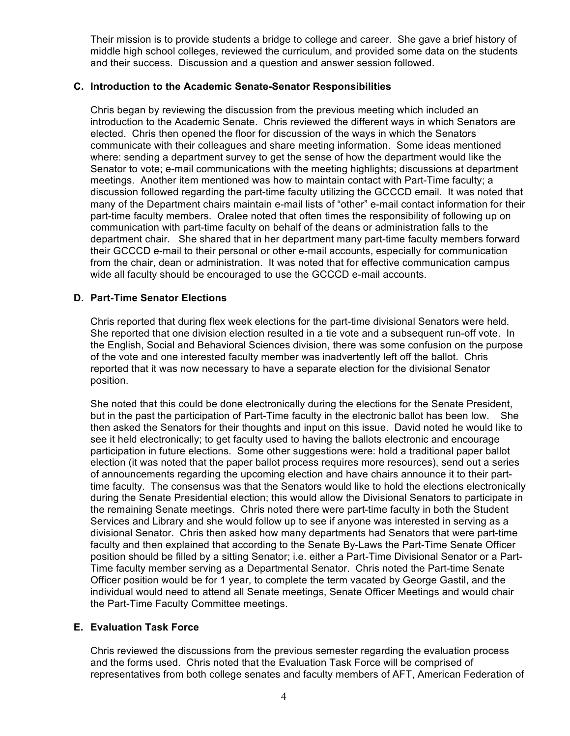Their mission is to provide students a bridge to college and career. She gave a brief history of middle high school colleges, reviewed the curriculum, and provided some data on the students and their success. Discussion and a question and answer session followed.

#### **C. Introduction to the Academic Senate-Senator Responsibilities**

Chris began by reviewing the discussion from the previous meeting which included an introduction to the Academic Senate. Chris reviewed the different ways in which Senators are elected. Chris then opened the floor for discussion of the ways in which the Senators communicate with their colleagues and share meeting information. Some ideas mentioned where: sending a department survey to get the sense of how the department would like the Senator to vote; e-mail communications with the meeting highlights; discussions at department meetings. Another item mentioned was how to maintain contact with Part-Time faculty; a discussion followed regarding the part-time faculty utilizing the GCCCD email. It was noted that many of the Department chairs maintain e-mail lists of "other" e-mail contact information for their part-time faculty members. Oralee noted that often times the responsibility of following up on communication with part-time faculty on behalf of the deans or administration falls to the department chair. She shared that in her department many part-time faculty members forward their GCCCD e-mail to their personal or other e-mail accounts, especially for communication from the chair, dean or administration. It was noted that for effective communication campus wide all faculty should be encouraged to use the GCCCD e-mail accounts.

#### **D. Part-Time Senator Elections**

Chris reported that during flex week elections for the part-time divisional Senators were held. She reported that one division election resulted in a tie vote and a subsequent run-off vote. In the English, Social and Behavioral Sciences division, there was some confusion on the purpose of the vote and one interested faculty member was inadvertently left off the ballot. Chris reported that it was now necessary to have a separate election for the divisional Senator position.

She noted that this could be done electronically during the elections for the Senate President, but in the past the participation of Part-Time faculty in the electronic ballot has been low. She then asked the Senators for their thoughts and input on this issue. David noted he would like to see it held electronically; to get faculty used to having the ballots electronic and encourage participation in future elections. Some other suggestions were: hold a traditional paper ballot election (it was noted that the paper ballot process requires more resources), send out a series of announcements regarding the upcoming election and have chairs announce it to their parttime faculty. The consensus was that the Senators would like to hold the elections electronically during the Senate Presidential election; this would allow the Divisional Senators to participate in the remaining Senate meetings. Chris noted there were part-time faculty in both the Student Services and Library and she would follow up to see if anyone was interested in serving as a divisional Senator. Chris then asked how many departments had Senators that were part-time faculty and then explained that according to the Senate By-Laws the Part-Time Senate Officer position should be filled by a sitting Senator; i.e. either a Part-Time Divisional Senator or a Part-Time faculty member serving as a Departmental Senator. Chris noted the Part-time Senate Officer position would be for 1 year, to complete the term vacated by George Gastil, and the individual would need to attend all Senate meetings, Senate Officer Meetings and would chair the Part-Time Faculty Committee meetings.

#### **E. Evaluation Task Force**

Chris reviewed the discussions from the previous semester regarding the evaluation process and the forms used. Chris noted that the Evaluation Task Force will be comprised of representatives from both college senates and faculty members of AFT, American Federation of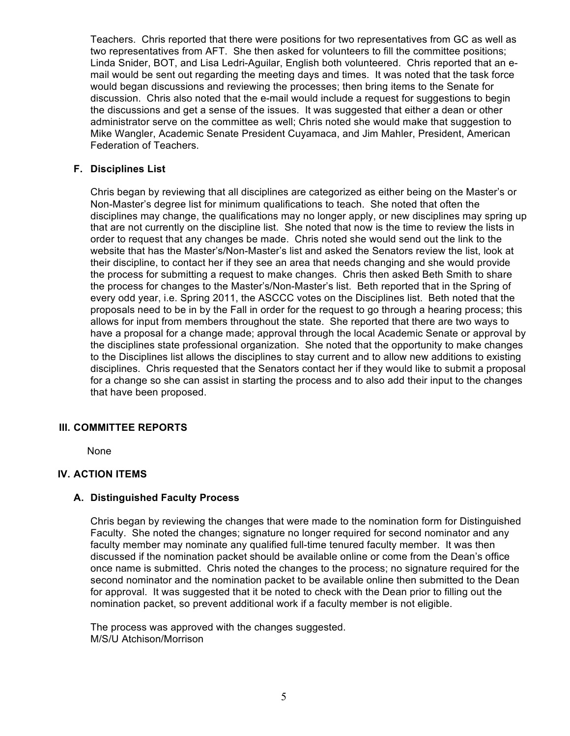Teachers. Chris reported that there were positions for two representatives from GC as well as two representatives from AFT. She then asked for volunteers to fill the committee positions; Linda Snider, BOT, and Lisa Ledri-Aguilar, English both volunteered. Chris reported that an email would be sent out regarding the meeting days and times. It was noted that the task force would began discussions and reviewing the processes; then bring items to the Senate for discussion. Chris also noted that the e-mail would include a request for suggestions to begin the discussions and get a sense of the issues. It was suggested that either a dean or other administrator serve on the committee as well; Chris noted she would make that suggestion to Mike Wangler, Academic Senate President Cuyamaca, and Jim Mahler, President, American Federation of Teachers.

#### **F. Disciplines List**

Chris began by reviewing that all disciplines are categorized as either being on the Master's or Non-Master's degree list for minimum qualifications to teach. She noted that often the disciplines may change, the qualifications may no longer apply, or new disciplines may spring up that are not currently on the discipline list. She noted that now is the time to review the lists in order to request that any changes be made. Chris noted she would send out the link to the website that has the Master's/Non-Master's list and asked the Senators review the list, look at their discipline, to contact her if they see an area that needs changing and she would provide the process for submitting a request to make changes. Chris then asked Beth Smith to share the process for changes to the Master's/Non-Master's list. Beth reported that in the Spring of every odd year, i.e. Spring 2011, the ASCCC votes on the Disciplines list. Beth noted that the proposals need to be in by the Fall in order for the request to go through a hearing process; this allows for input from members throughout the state. She reported that there are two ways to have a proposal for a change made; approval through the local Academic Senate or approval by the disciplines state professional organization. She noted that the opportunity to make changes to the Disciplines list allows the disciplines to stay current and to allow new additions to existing disciplines. Chris requested that the Senators contact her if they would like to submit a proposal for a change so she can assist in starting the process and to also add their input to the changes that have been proposed.

#### **III. COMMITTEE REPORTS**

None

#### **IV. ACTION ITEMS**

#### **A. Distinguished Faculty Process**

Chris began by reviewing the changes that were made to the nomination form for Distinguished Faculty. She noted the changes; signature no longer required for second nominator and any faculty member may nominate any qualified full-time tenured faculty member. It was then discussed if the nomination packet should be available online or come from the Dean's office once name is submitted. Chris noted the changes to the process; no signature required for the second nominator and the nomination packet to be available online then submitted to the Dean for approval. It was suggested that it be noted to check with the Dean prior to filling out the nomination packet, so prevent additional work if a faculty member is not eligible.

The process was approved with the changes suggested. M/S/U Atchison/Morrison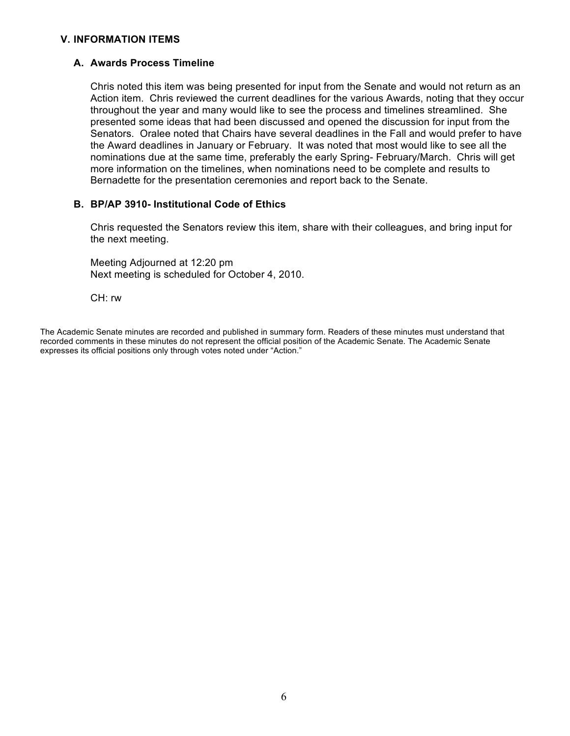#### **V. INFORMATION ITEMS**

#### **A. Awards Process Timeline**

Chris noted this item was being presented for input from the Senate and would not return as an Action item. Chris reviewed the current deadlines for the various Awards, noting that they occur throughout the year and many would like to see the process and timelines streamlined. She presented some ideas that had been discussed and opened the discussion for input from the Senators. Oralee noted that Chairs have several deadlines in the Fall and would prefer to have the Award deadlines in January or February. It was noted that most would like to see all the nominations due at the same time, preferably the early Spring- February/March. Chris will get more information on the timelines, when nominations need to be complete and results to Bernadette for the presentation ceremonies and report back to the Senate.

#### **B. BP/AP 3910- Institutional Code of Ethics**

Chris requested the Senators review this item, share with their colleagues, and bring input for the next meeting.

Meeting Adjourned at 12:20 pm Next meeting is scheduled for October 4, 2010.

CH: rw

The Academic Senate minutes are recorded and published in summary form. Readers of these minutes must understand that recorded comments in these minutes do not represent the official position of the Academic Senate. The Academic Senate expresses its official positions only through votes noted under "Action."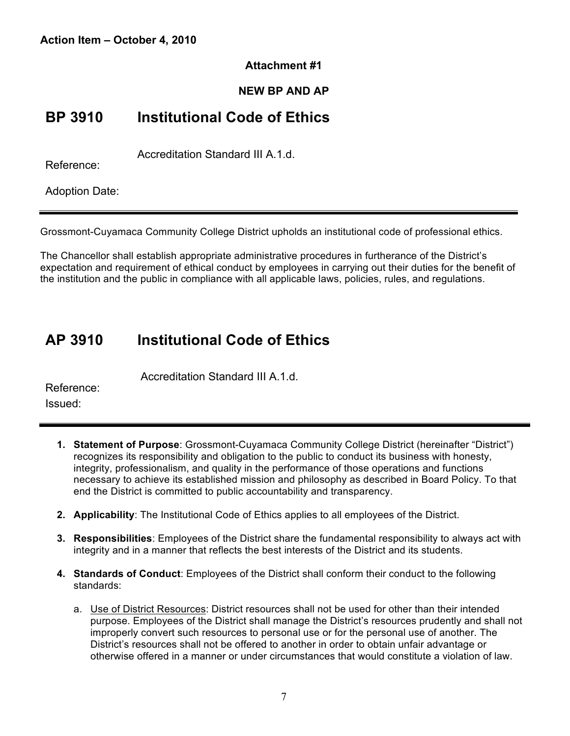#### **Attachment #1**

#### **NEW BP AND AP**

### **BP 3910 Institutional Code of Ethics**

Accreditation Standard III A.1.d.

Reference:

Adoption Date:

Grossmont-Cuyamaca Community College District upholds an institutional code of professional ethics.

The Chancellor shall establish appropriate administrative procedures in furtherance of the District's expectation and requirement of ethical conduct by employees in carrying out their duties for the benefit of the institution and the public in compliance with all applicable laws, policies, rules, and regulations.

## **AP 3910 Institutional Code of Ethics**

Accreditation Standard III A.1.d.

Reference: Issued:

- **1. Statement of Purpose**: Grossmont-Cuyamaca Community College District (hereinafter "District") recognizes its responsibility and obligation to the public to conduct its business with honesty, integrity, professionalism, and quality in the performance of those operations and functions necessary to achieve its established mission and philosophy as described in Board Policy. To that end the District is committed to public accountability and transparency.
- **2. Applicability**: The Institutional Code of Ethics applies to all employees of the District.
- **3. Responsibilities**: Employees of the District share the fundamental responsibility to always act with integrity and in a manner that reflects the best interests of the District and its students.
- **4. Standards of Conduct**: Employees of the District shall conform their conduct to the following standards:
	- a. Use of District Resources: District resources shall not be used for other than their intended purpose. Employees of the District shall manage the District's resources prudently and shall not improperly convert such resources to personal use or for the personal use of another. The District's resources shall not be offered to another in order to obtain unfair advantage or otherwise offered in a manner or under circumstances that would constitute a violation of law.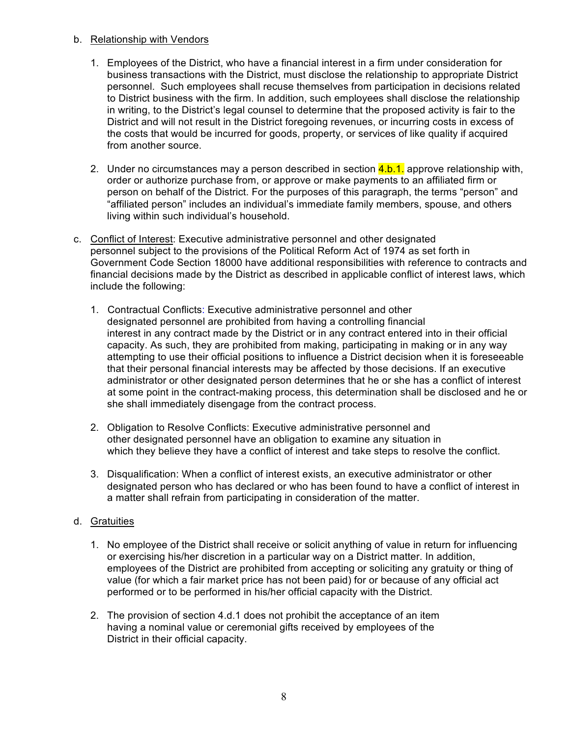#### b. Relationship with Vendors

- 1. Employees of the District, who have a financial interest in a firm under consideration for business transactions with the District, must disclose the relationship to appropriate District personnel. Such employees shall recuse themselves from participation in decisions related to District business with the firm. In addition, such employees shall disclose the relationship in writing, to the District's legal counsel to determine that the proposed activity is fair to the District and will not result in the District foregoing revenues, or incurring costs in excess of the costs that would be incurred for goods, property, or services of like quality if acquired from another source.
- 2. Under no circumstances may a person described in section  $\frac{4 \cdot b \cdot 1}{2}$  approve relationship with, order or authorize purchase from, or approve or make payments to an affiliated firm or person on behalf of the District. For the purposes of this paragraph, the terms "person" and "affiliated person" includes an individual's immediate family members, spouse, and others living within such individual's household.
- c. Conflict of Interest: Executive administrative personnel and other designated personnel subject to the provisions of the Political Reform Act of 1974 as set forth in Government Code Section 18000 have additional responsibilities with reference to contracts and financial decisions made by the District as described in applicable conflict of interest laws, which include the following:
	- 1. Contractual Conflicts: Executive administrative personnel and other designated personnel are prohibited from having a controlling financial interest in any contract made by the District or in any contract entered into in their official capacity. As such, they are prohibited from making, participating in making or in any way attempting to use their official positions to influence a District decision when it is foreseeable that their personal financial interests may be affected by those decisions. If an executive administrator or other designated person determines that he or she has a conflict of interest at some point in the contract-making process, this determination shall be disclosed and he or she shall immediately disengage from the contract process.
	- 2. Obligation to Resolve Conflicts: Executive administrative personnel and other designated personnel have an obligation to examine any situation in which they believe they have a conflict of interest and take steps to resolve the conflict.
	- 3. Disqualification: When a conflict of interest exists, an executive administrator or other designated person who has declared or who has been found to have a conflict of interest in a matter shall refrain from participating in consideration of the matter.

#### d. Gratuities

- 1. No employee of the District shall receive or solicit anything of value in return for influencing or exercising his/her discretion in a particular way on a District matter. In addition, employees of the District are prohibited from accepting or soliciting any gratuity or thing of value (for which a fair market price has not been paid) for or because of any official act performed or to be performed in his/her official capacity with the District.
- 2. The provision of section 4.d.1 does not prohibit the acceptance of an item having a nominal value or ceremonial gifts received by employees of the District in their official capacity.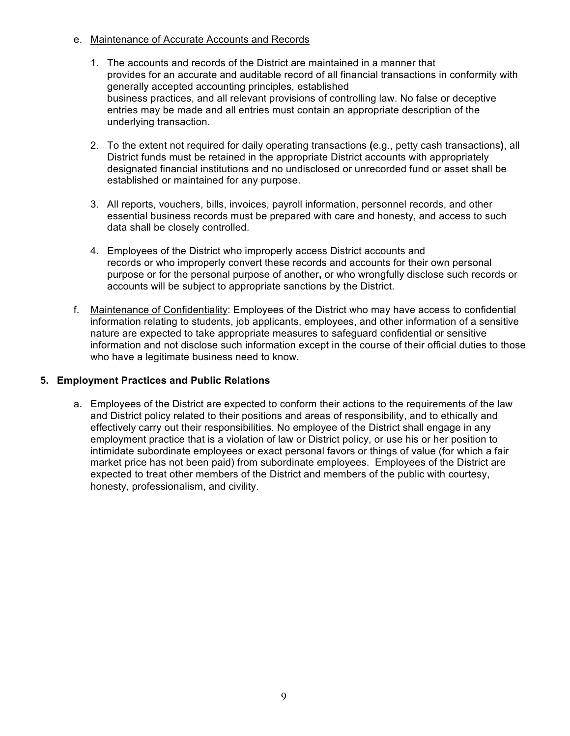- e. Maintenance of Accurate Accounts and Records
	- 1. The accounts and records of the District are maintained in a manner that provides for an accurate and auditable record of all financial transactions in conformity with generally accepted accounting principles, established business practices, and all relevant provisions of controlling law. No false or deceptive entries may be made and all entries must contain an appropriate description of the underlying transaction.
	- 2. To the extent not required for daily operating transactions **(**e.g., petty cash transactions**)**, all District funds must be retained in the appropriate District accounts with appropriately designated financial institutions and no undisclosed or unrecorded fund or asset shall be established or maintained for any purpose.
	- 3. All reports, vouchers, bills, invoices, payroll information, personnel records, and other essential business records must be prepared with care and honesty, and access to such data shall be closely controlled.
	- 4. Employees of the District who improperly access District accounts and records or who improperly convert these records and accounts for their own personal purpose or for the personal purpose of another**,** or who wrongfully disclose such records or accounts will be subject to appropriate sanctions by the District.
- f. Maintenance of Confidentiality: Employees of the District who may have access to confidential information relating to students, job applicants, employees, and other information of a sensitive nature are expected to take appropriate measures to safeguard confidential or sensitive information and not disclose such information except in the course of their official duties to those who have a legitimate business need to know.

#### **5. Employment Practices and Public Relations**

a. Employees of the District are expected to conform their actions to the requirements of the law and District policy related to their positions and areas of responsibility, and to ethically and effectively carry out their responsibilities. No employee of the District shall engage in any employment practice that is a violation of law or District policy, or use his or her position to intimidate subordinate employees or exact personal favors or things of value (for which a fair market price has not been paid) from subordinate employees. Employees of the District are expected to treat other members of the District and members of the public with courtesy, honesty, professionalism, and civility.